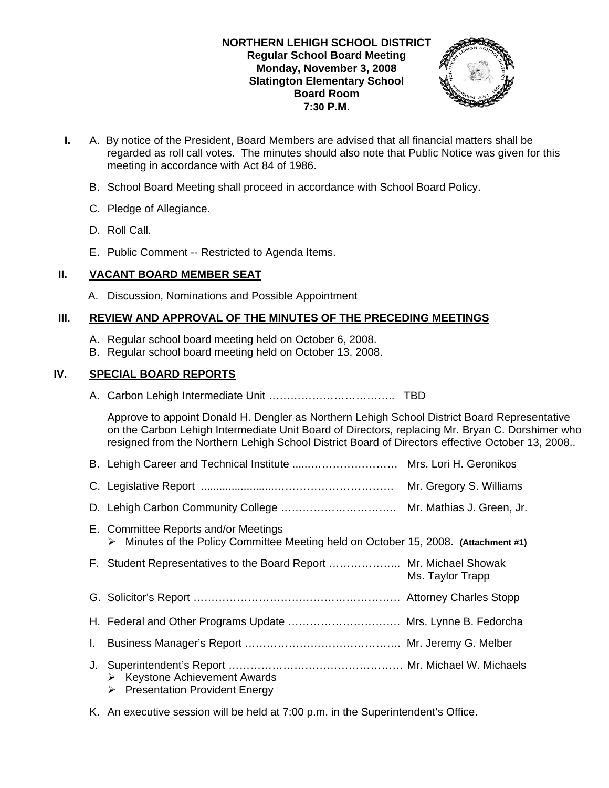## **NORTHERN LEHIGH SCHOOL DISTRICT Regular School Board Meeting Monday, November 3, 2008 Slatington Elementary School Board Room 7:30 P.M.**



- **I.** A. By notice of the President, Board Members are advised that all financial matters shall be regarded as roll call votes. The minutes should also note that Public Notice was given for this meeting in accordance with Act 84 of 1986.
	- B. School Board Meeting shall proceed in accordance with School Board Policy.
	- C. Pledge of Allegiance.
	- D. Roll Call.
	- E. Public Comment -- Restricted to Agenda Items.

# **II. VACANT BOARD MEMBER SEAT**

A. Discussion, Nominations and Possible Appointment

# **III. REVIEW AND APPROVAL OF THE MINUTES OF THE PRECEDING MEETINGS**

- A. Regular school board meeting held on October 6, 2008.
- B. Regular school board meeting held on October 13, 2008.

# **IV. SPECIAL BOARD REPORTS**

A. Carbon Lehigh Intermediate Unit …………………………….. TBD

 Approve to appoint Donald H. Dengler as Northern Lehigh School District Board Representative on the Carbon Lehigh Intermediate Unit Board of Directors, replacing Mr. Bryan C. Dorshimer who resigned from the Northern Lehigh School District Board of Directors effective October 13, 2008..

|    |                                                                                                                             | Mr. Gregory S. Williams |
|----|-----------------------------------------------------------------------------------------------------------------------------|-------------------------|
|    |                                                                                                                             |                         |
|    | E. Committee Reports and/or Meetings<br>> Minutes of the Policy Committee Meeting held on October 15, 2008. (Attachment #1) |                         |
|    | F. Student Representatives to the Board Report  Mr. Michael Showak                                                          | Ms. Taylor Trapp        |
|    |                                                                                                                             |                         |
|    | H. Federal and Other Programs Update  Mrs. Lynne B. Fedorcha                                                                |                         |
|    |                                                                                                                             |                         |
| J. | $\triangleright$ Keystone Achievement Awards<br>$\triangleright$ Presentation Provident Energy                              |                         |

K. An executive session will be held at 7:00 p.m. in the Superintendent's Office.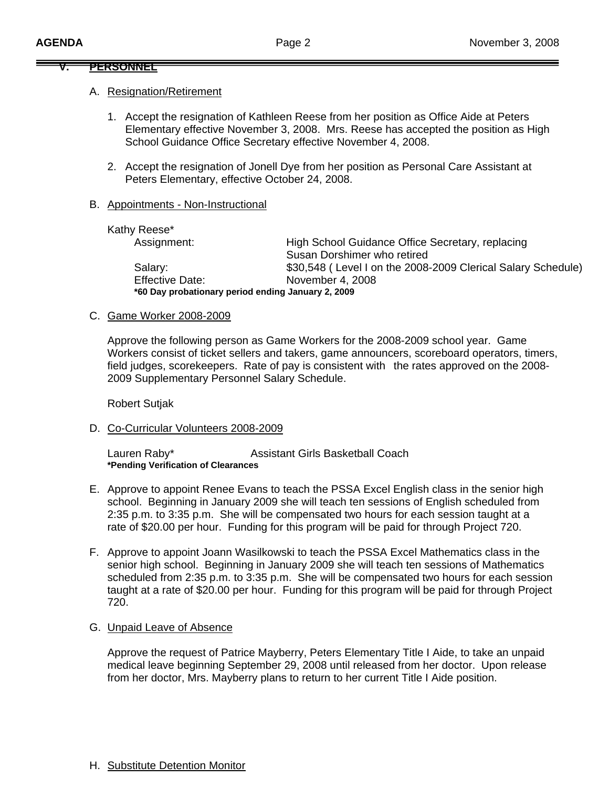#### **V. PERSONNEL**

#### A. Resignation/Retirement

- 1. Accept the resignation of Kathleen Reese from her position as Office Aide at Peters Elementary effective November 3, 2008. Mrs. Reese has accepted the position as High School Guidance Office Secretary effective November 4, 2008.
- 2. Accept the resignation of Jonell Dye from her position as Personal Care Assistant at Peters Elementary, effective October 24, 2008.

### B. Appointments - Non-Instructional

| Kathy Reese*                                       |                                                              |
|----------------------------------------------------|--------------------------------------------------------------|
| Assignment:                                        | High School Guidance Office Secretary, replacing             |
|                                                    | Susan Dorshimer who retired                                  |
| Salary:                                            | \$30,548 (Level I on the 2008-2009 Clerical Salary Schedule) |
| <b>Effective Date:</b>                             | November 4, 2008                                             |
| *60 Day probationary period ending January 2, 2009 |                                                              |

#### C. Game Worker 2008-2009

 Approve the following person as Game Workers for the 2008-2009 school year. Game Workers consist of ticket sellers and takers, game announcers, scoreboard operators, timers, field judges, scorekeepers. Rate of pay is consistent with the rates approved on the 2008- 2009 Supplementary Personnel Salary Schedule.

Robert Sutjak

D. Co-Curricular Volunteers 2008-2009

Lauren Raby\* **Assistant Girls Basketball Coach \*Pending Verification of Clearances** 

- E. Approve to appoint Renee Evans to teach the PSSA Excel English class in the senior high school. Beginning in January 2009 she will teach ten sessions of English scheduled from 2:35 p.m. to 3:35 p.m. She will be compensated two hours for each session taught at a rate of \$20.00 per hour. Funding for this program will be paid for through Project 720.
- F. Approve to appoint Joann Wasilkowski to teach the PSSA Excel Mathematics class in the senior high school. Beginning in January 2009 she will teach ten sessions of Mathematics scheduled from 2:35 p.m. to 3:35 p.m. She will be compensated two hours for each session taught at a rate of \$20.00 per hour. Funding for this program will be paid for through Project 720.

### G. Unpaid Leave of Absence

Approve the request of Patrice Mayberry, Peters Elementary Title I Aide, to take an unpaid medical leave beginning September 29, 2008 until released from her doctor. Upon release from her doctor, Mrs. Mayberry plans to return to her current Title I Aide position.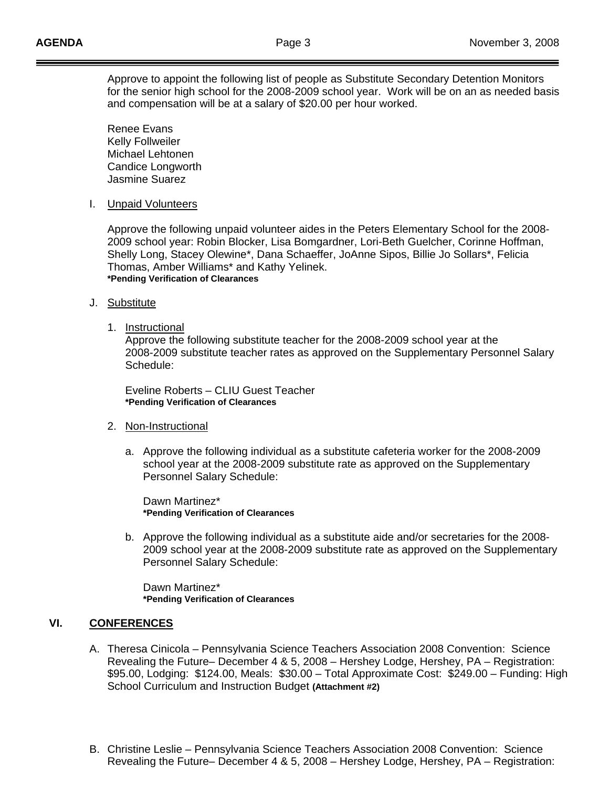Approve to appoint the following list of people as Substitute Secondary Detention Monitors for the senior high school for the 2008-2009 school year. Work will be on an as needed basis and compensation will be at a salary of \$20.00 per hour worked.

 Renee Evans Kelly Follweiler Michael Lehtonen Candice Longworth Jasmine Suarez

I. Unpaid Volunteers

Approve the following unpaid volunteer aides in the Peters Elementary School for the 2008- 2009 school year: Robin Blocker, Lisa Bomgardner, Lori-Beth Guelcher, Corinne Hoffman, Shelly Long, Stacey Olewine\*, Dana Schaeffer, JoAnne Sipos, Billie Jo Sollars\*, Felicia Thomas, Amber Williams\* and Kathy Yelinek. **\*Pending Verification of Clearances**

- J. Substitute
	- 1. Instructional

 Approve the following substitute teacher for the 2008-2009 school year at the 2008-2009 substitute teacher rates as approved on the Supplementary Personnel Salary Schedule:

 Eveline Roberts – CLIU Guest Teacher **\*Pending Verification of Clearances** 

- 2. Non-Instructional
	- a. Approve the following individual as a substitute cafeteria worker for the 2008-2009 school year at the 2008-2009 substitute rate as approved on the Supplementary Personnel Salary Schedule:

 Dawn Martinez\*  **\*Pending Verification of Clearances** 

b. Approve the following individual as a substitute aide and/or secretaries for the 2008- 2009 school year at the 2008-2009 substitute rate as approved on the Supplementary Personnel Salary Schedule:

 Dawn Martinez\*  **\*Pending Verification of Clearances** 

## **VI. CONFERENCES**

- A. Theresa Cinicola Pennsylvania Science Teachers Association 2008 Convention: Science Revealing the Future– December 4 & 5, 2008 – Hershey Lodge, Hershey, PA – Registration: \$95.00, Lodging: \$124.00, Meals: \$30.00 – Total Approximate Cost: \$249.00 – Funding: High School Curriculum and Instruction Budget **(Attachment #2)**
- B. Christine Leslie Pennsylvania Science Teachers Association 2008 Convention: Science Revealing the Future– December 4 & 5, 2008 – Hershey Lodge, Hershey, PA – Registration: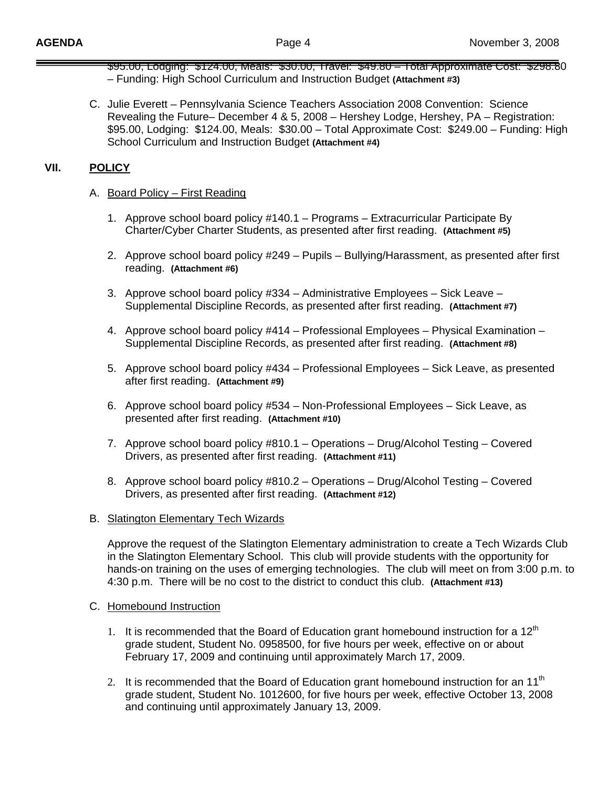- \$95.00, Lodging: \$124.00, Meals: \$30.00, Travel: \$49.80 Total Approximate Cost: \$298.80 – Funding: High School Curriculum and Instruction Budget **(Attachment #3)**
- C. Julie Everett Pennsylvania Science Teachers Association 2008 Convention: Science Revealing the Future– December 4 & 5, 2008 – Hershey Lodge, Hershey, PA – Registration: \$95.00, Lodging: \$124.00, Meals: \$30.00 – Total Approximate Cost: \$249.00 – Funding: High School Curriculum and Instruction Budget **(Attachment #4)**

## **VII. POLICY**

## A. Board Policy – First Reading

- 1. Approve school board policy #140.1 Programs Extracurricular Participate By Charter/Cyber Charter Students, as presented after first reading. **(Attachment #5)**
- 2. Approve school board policy #249 Pupils Bullying/Harassment, as presented after first reading. **(Attachment #6)**
- 3. Approve school board policy #334 Administrative Employees Sick Leave Supplemental Discipline Records, as presented after first reading. **(Attachment #7)**
- 4. Approve school board policy #414 Professional Employees Physical Examination Supplemental Discipline Records, as presented after first reading. **(Attachment #8)**
- 5. Approve school board policy #434 Professional Employees Sick Leave, as presented after first reading. **(Attachment #9)**
- 6. Approve school board policy #534 Non-Professional Employees Sick Leave, as presented after first reading. **(Attachment #10)**
- 7. Approve school board policy #810.1 Operations Drug/Alcohol Testing Covered Drivers, as presented after first reading. **(Attachment #11)**
- 8. Approve school board policy #810.2 Operations Drug/Alcohol Testing Covered Drivers, as presented after first reading. **(Attachment #12)**
- B. Slatington Elementary Tech Wizards

 Approve the request of the Slatington Elementary administration to create a Tech Wizards Club in the Slatington Elementary School. This club will provide students with the opportunity for hands-on training on the uses of emerging technologies. The club will meet on from 3:00 p.m. to 4:30 p.m. There will be no cost to the district to conduct this club. **(Attachment #13)** 

### C. Homebound Instruction

- 1. It is recommended that the Board of Education grant homebound instruction for a  $12<sup>th</sup>$ grade student, Student No. 0958500, for five hours per week, effective on or about February 17, 2009 and continuing until approximately March 17, 2009.
- 2. It is recommended that the Board of Education grant homebound instruction for an 11<sup>th</sup> grade student, Student No. 1012600, for five hours per week, effective October 13, 2008 and continuing until approximately January 13, 2009.